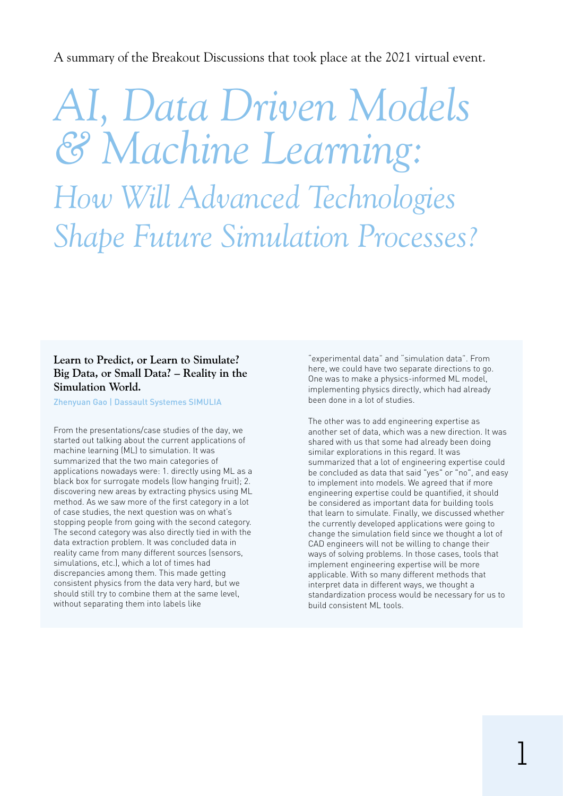A summary of the Breakout Discussions that took place at the 2021 virtual event.

*AI, Data Driven Models & Machine Learning: How Will Advanced Technologies Shape Future Simulation Processes?*

### **Learn to Predict, or Learn to Simulate? Big Data, or Small Data? – Reality in the Simulation World.**

Zhenyuan Gao | Dassault Systemes SIMULIA

From the presentations/case studies of the day, we started out talking about the current applications of machine learning (ML) to simulation. It was summarized that the two main categories of applications nowadays were: 1. directly using ML as a black box for surrogate models (low hanging fruit); 2. discovering new areas by extracting physics using ML method. As we saw more of the first category in a lot of case studies, the next question was on what's stopping people from going with the second category. The second category was also directly tied in with the data extraction problem. It was concluded data in reality came from many different sources (sensors, simulations, etc.), which a lot of times had discrepancies among them. This made getting consistent physics from the data very hard, but we should still try to combine them at the same level, without separating them into labels like

"experimental data" and "simulation data". From here, we could have two separate directions to go. One was to make a physics-informed ML model, implementing physics directly, which had already been done in a lot of studies.

The other was to add engineering expertise as another set of data, which was a new direction. It was shared with us that some had already been doing similar explorations in this regard. It was summarized that a lot of engineering expertise could be concluded as data that said "yes" or "no", and easy to implement into models. We agreed that if more engineering expertise could be quantified, it should be considered as important data for building tools that learn to simulate. Finally, we discussed whether the currently developed applications were going to change the simulation field since we thought a lot of CAD engineers will not be willing to change their ways of solving problems. In those cases, tools that implement engineering expertise will be more applicable. With so many different methods that interpret data in different ways, we thought a standardization process would be necessary for us to build consistent ML tools.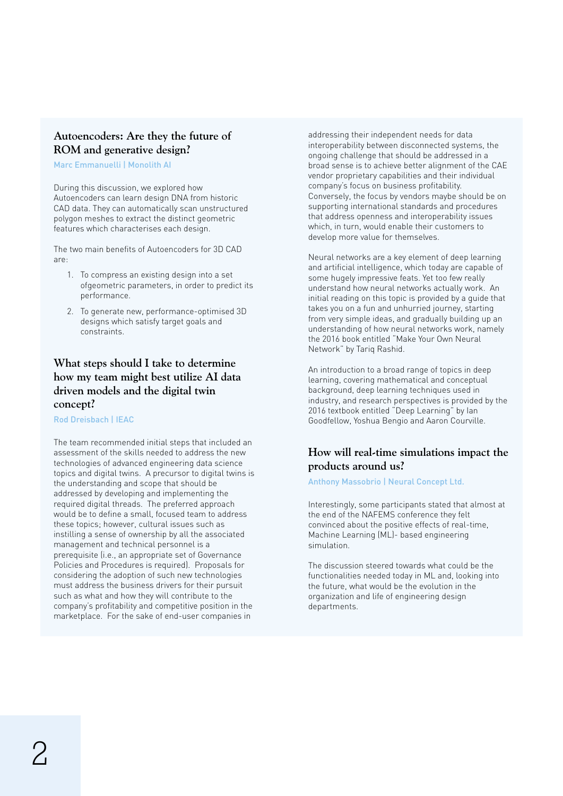### **Autoencoders: Are they the future of ROM and generative design?**

Marc Emmanuelli | Monolith AI

During this discussion, we explored how Autoencoders can learn design DNA from historic CAD data. They can automatically scan unstructured polygon meshes to extract the distinct geometric features which characterises each design.

The two main benefits of Autoencoders for 3D CAD are:

- 1. To compress an existing design into a set ofgeometric parameters, in order to predict its performance.
- 2. To generate new, performance-optimised 3D designs which satisfy target goals and constraints.

# **What steps should I take to determine how my team might best utilize AI data driven models and the digital twin concept?**

Rod Dreisbach | IEAC

The team recommended initial steps that included an assessment of the skills needed to address the new technologies of advanced engineering data science topics and digital twins. A precursor to digital twins is the understanding and scope that should be addressed by developing and implementing the required digital threads. The preferred approach would be to define a small, focused team to address these topics; however, cultural issues such as instilling a sense of ownership by all the associated management and technical personnel is a prerequisite (i.e., an appropriate set of Governance Policies and Procedures is required). Proposals for considering the adoption of such new technologies must address the business drivers for their pursuit such as what and how they will contribute to the company's profitability and competitive position in the marketplace. For the sake of end-user companies in

addressing their independent needs for data interoperability between disconnected systems, the ongoing challenge that should be addressed in a broad sense is to achieve better alignment of the CAE vendor proprietary capabilities and their individual company's focus on business profitability. Conversely, the focus by vendors maybe should be on supporting international standards and procedures that address openness and interoperability issues which, in turn, would enable their customers to develop more value for themselves.

Neural networks are a key element of deep learning and artificial intelligence, which today are capable of some hugely impressive feats. Yet too few really understand how neural networks actually work. An initial reading on this topic is provided by a guide that takes you on a fun and unhurried journey, starting from very simple ideas, and gradually building up an understanding of how neural networks work, namely the 2016 book entitled "Make Your Own Neural Network" by Tariq Rashid.

An introduction to a broad range of topics in deep learning, covering mathematical and conceptual background, deep learning techniques used in industry, and research perspectives is provided by the 2016 textbook entitled "Deep Learning" by Ian Goodfellow, Yoshua Bengio and Aaron Courville.

# **How will real-time simulations impact the products around us?**

### Anthony Massobrio | Neural Concept Ltd.

Interestingly, some participants stated that almost at the end of the NAFEMS conference they felt convinced about the positive effects of real-time, Machine Learning (ML)- based engineering simulation.

The discussion steered towards what could be the functionalities needed today in ML and, looking into the future, what would be the evolution in the organization and life of engineering design departments.